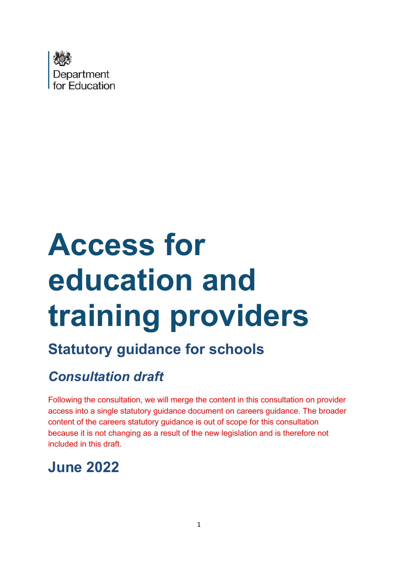

# **Access for education and training providers**

# **Statutory guidance for schools**

# *Consultation draft*

Following the consultation, we will merge the content in this consultation on provider access into a single statutory guidance document on careers guidance. The broader content of the careers statutory guidance is out of scope for this consultation because it is not changing as a result of the new legislation and is therefore not included in this draft.

# **June 2022**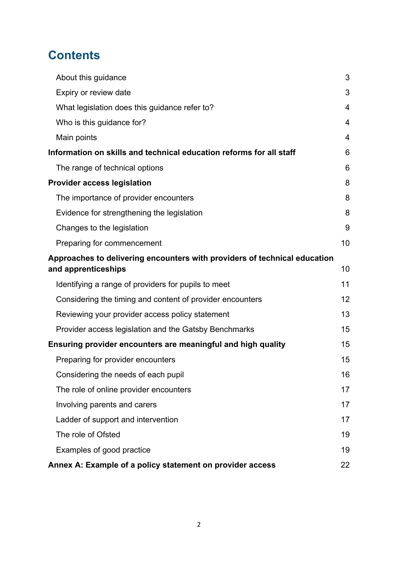# **Contents**

| About this guidance                                                                              | 3              |  |
|--------------------------------------------------------------------------------------------------|----------------|--|
| Expiry or review date                                                                            | 3              |  |
| What legislation does this guidance refer to?                                                    | 4              |  |
| Who is this guidance for?                                                                        | $\overline{4}$ |  |
| Main points                                                                                      | $\overline{4}$ |  |
| Information on skills and technical education reforms for all staff                              | 6              |  |
| The range of technical options                                                                   | 6              |  |
| <b>Provider access legislation</b>                                                               | 8              |  |
| The importance of provider encounters                                                            | 8              |  |
| Evidence for strengthening the legislation                                                       | 8              |  |
| Changes to the legislation                                                                       | 9              |  |
| Preparing for commencement                                                                       | 10             |  |
| Approaches to delivering encounters with providers of technical education<br>and apprenticeships | 10             |  |
| Identifying a range of providers for pupils to meet                                              | 11             |  |
| Considering the timing and content of provider encounters                                        | 12             |  |
| Reviewing your provider access policy statement                                                  | 13             |  |
| Provider access legislation and the Gatsby Benchmarks                                            | 15             |  |
| Ensuring provider encounters are meaningful and high quality                                     | 15             |  |
| Preparing for provider encounters                                                                | 15             |  |
| Considering the needs of each pupil                                                              | 16             |  |
| The role of online provider encounters                                                           | 17             |  |
| Involving parents and carers                                                                     | 17             |  |
| Ladder of support and intervention                                                               | 17             |  |
| The role of Ofsted                                                                               | 19             |  |
| Examples of good practice                                                                        | 19             |  |
| Annex A: Example of a policy statement on provider access                                        |                |  |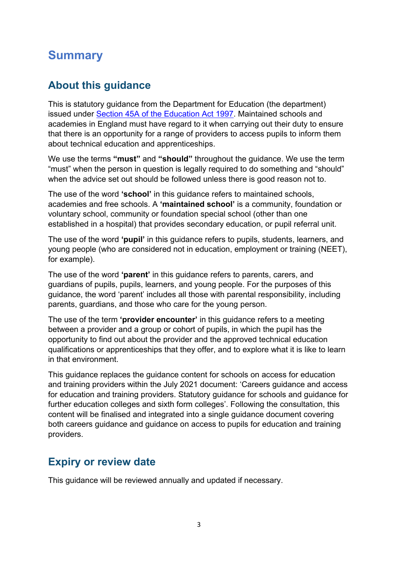# **Summary**

## <span id="page-2-0"></span>**About this guidance**

This is statutory guidance from the Department for Education (the department) issued under [Section 45A of the Education Act 1997.](https://www.legislation.gov.uk/ukpga/1997/44/section/45A) Maintained schools and academies in England must have regard to it when carrying out their duty to ensure that there is an opportunity for a range of providers to access pupils to inform them about technical education and apprenticeships.

We use the terms **"must"** and **"should"** throughout the guidance. We use the term "must" when the person in question is legally required to do something and "should" when the advice set out should be followed unless there is good reason not to.

The use of the word **'school'** in this guidance refers to maintained schools, academies and free schools. A **'maintained school'** is a community, foundation or voluntary school, community or foundation special school (other than one established in a hospital) that provides secondary education, or pupil referral unit.

The use of the word **'pupil'** in this guidance refers to pupils, students, learners, and young people (who are considered not in education, employment or training (NEET), for example).

The use of the word **'parent'** in this guidance refers to parents, carers, and guardians of pupils, pupils, learners, and young people. For the purposes of this guidance, the word 'parent' includes all those with parental responsibility, including parents, guardians, and those who care for the young person.

The use of the term **'provider encounter'** in this guidance refers to a meeting between a provider and a group or cohort of pupils, in which the pupil has the opportunity to find out about the provider and the approved technical education qualifications or apprenticeships that they offer, and to explore what it is like to learn in that environment.

This guidance replaces the guidance content for schools on access for education and training providers within the July 2021 document: 'Careers guidance and access for education and training providers. Statutory guidance for schools and guidance for further education colleges and sixth form colleges'. Following the consultation, this content will be finalised and integrated into a single guidance document covering both careers guidance and guidance on access to pupils for education and training providers.

## <span id="page-2-1"></span>**Expiry or review date**

This guidance will be reviewed annually and updated if necessary.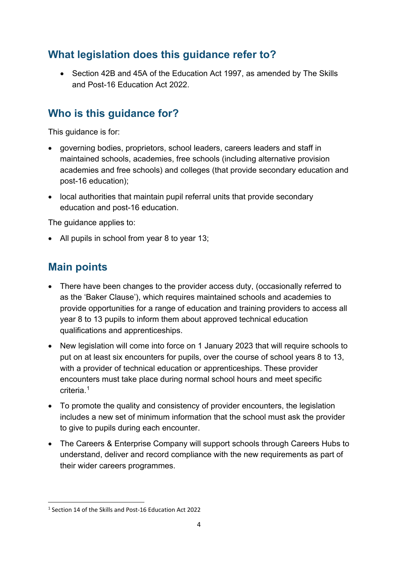# <span id="page-3-0"></span>**What legislation does this guidance refer to?**

• Section 42B and 45A of the Education Act 1997, as amended by The Skills and Post-16 Education Act 2022.

# <span id="page-3-1"></span>**Who is this guidance for?**

This guidance is for:

- governing bodies, proprietors, school leaders, careers leaders and staff in maintained schools, academies, free schools (including alternative provision academies and free schools) and colleges (that provide secondary education and post-16 education);
- local authorities that maintain pupil referral units that provide secondary education and post-16 education.

The guidance applies to:

• All pupils in school from year 8 to year 13;

# <span id="page-3-2"></span>**Main points**

- There have been changes to the provider access duty, (occasionally referred to as the 'Baker Clause'), which requires maintained schools and academies to provide opportunities for a range of education and training providers to access all year 8 to 13 pupils to inform them about approved technical education qualifications and apprenticeships.
- New legislation will come into force on 1 January 2023 that will require schools to put on at least six encounters for pupils, over the course of school years 8 to 13, with a provider of technical education or apprenticeships. These provider encounters must take place during normal school hours and meet specific criteria. [1](#page-3-3)
- To promote the quality and consistency of provider encounters, the legislation includes a new set of minimum information that the school must ask the provider to give to pupils during each encounter.
- The Careers & Enterprise Company will support schools through Careers Hubs to understand, deliver and record compliance with the new requirements as part of their wider careers programmes.

<span id="page-3-3"></span><sup>1</sup> Section 14 of the Skills and Post-16 Education Act 2022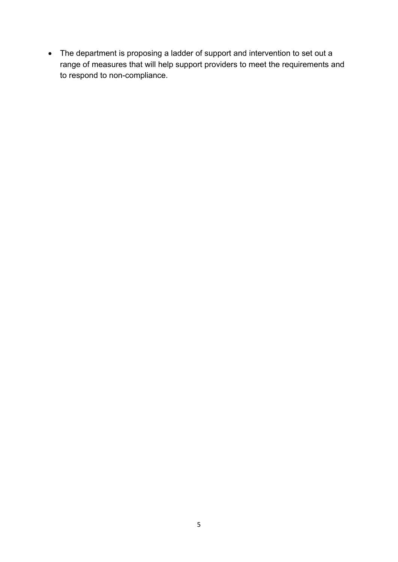• The department is proposing a ladder of support and intervention to set out a range of measures that will help support providers to meet the requirements and to respond to non-compliance.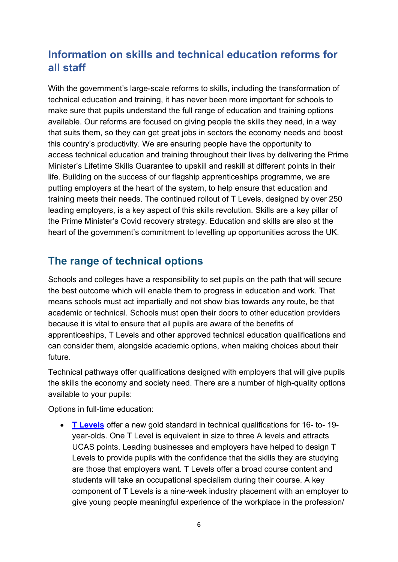# <span id="page-5-0"></span>**Information on skills and technical education reforms for all staff**

With the government's large-scale reforms to skills, including the transformation of technical education and training, it has never been more important for schools to make sure that pupils understand the full range of education and training options available. Our reforms are focused on giving people the skills they need, in a way that suits them, so they can get great jobs in sectors the economy needs and boost this country's productivity. We are ensuring people have the opportunity to access technical education and training throughout their lives by delivering the Prime Minister's Lifetime Skills Guarantee to upskill and reskill at different points in their life. Building on the success of our flagship apprenticeships programme, we are putting employers at the heart of the system, to help ensure that education and training meets their needs. The continued rollout of T Levels, designed by over 250 leading employers, is a key aspect of this skills revolution. Skills are a key pillar of the Prime Minister's Covid recovery strategy. Education and skills are also at the heart of the government's commitment to levelling up opportunities across the UK.

# <span id="page-5-1"></span>**The range of technical options**

Schools and colleges have a responsibility to set pupils on the path that will secure the best outcome which will enable them to progress in education and work. That means schools must act impartially and not show bias towards any route, be that academic or technical. Schools must open their doors to other education providers because it is vital to ensure that all pupils are aware of the benefits of apprenticeships, T Levels and other approved technical education qualifications and can consider them, alongside academic options, when making choices about their future.

Technical pathways offer qualifications designed with employers that will give pupils the skills the economy and society need. There are a number of high-quality options available to your pupils:

Options in full-time education:

• **[T Levels](https://www.tlevels.gov.uk/students)** offer a new gold standard in technical qualifications for 16- to- 19 year-olds. One T Level is equivalent in size to three A levels and attracts UCAS points. Leading businesses and employers have helped to design T Levels to provide pupils with the confidence that the skills they are studying are those that employers want. T Levels offer a broad course content and students will take an occupational specialism during their course. A key component of T Levels is a nine-week industry placement with an employer to give young people meaningful experience of the workplace in the profession/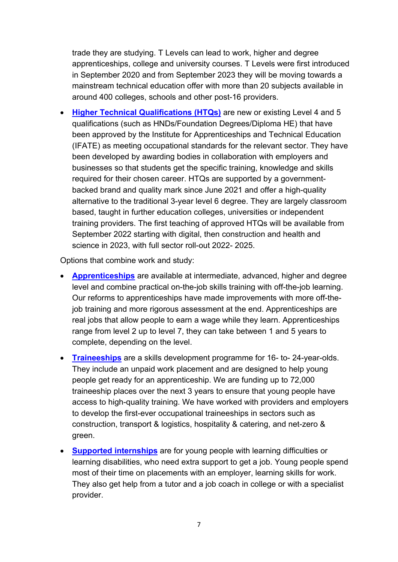trade they are studying. T Levels can lead to work, higher and degree apprenticeships, college and university courses. T Levels were first introduced in September 2020 and from September 2023 they will be moving towards a mainstream technical education offer with more than 20 subjects available in around 400 colleges, schools and other post-16 providers.

• **[Higher Technical Qualifications](https://nationalcareers.service.gov.uk/explore-your-education-and-training-choices/higher-technical) (HTQs)** are new or existing Level 4 and 5 qualifications (such as HNDs/Foundation Degrees/Diploma HE) that have been approved by the Institute for Apprenticeships and Technical Education (IFATE) as meeting occupational standards for the relevant sector. They have been developed by awarding bodies in collaboration with employers and businesses so that students get the specific training, knowledge and skills required for their chosen career. HTQs are supported by a governmentbacked brand and quality mark since June 2021 and offer a high-quality alternative to the traditional 3-year level 6 degree. They are largely classroom based, taught in further education colleges, universities or independent training providers. The first teaching of approved HTQs will be available from September 2022 starting with digital, then construction and health and science in 2023, with full sector roll-out 2022- 2025.

Options that combine work and study:

- **[Apprenticeships](https://www.apprenticeships.gov.uk/)** are available at intermediate, advanced, higher and degree level and combine practical on-the-job skills training with off-the-job learning. Our reforms to apprenticeships have made improvements with more off-thejob training and more rigorous assessment at the end. Apprenticeships are real jobs that allow people to earn a wage while they learn. Apprenticeships range from level 2 up to level 7, they can take between 1 and 5 years to complete, depending on the level.
- **[Traineeships](https://www.gov.uk/find-traineeship)** are a skills development programme for 16- to- 24-year-olds. They include an unpaid work placement and are designed to help young people get ready for an apprenticeship. We are funding up to 72,000 traineeship places over the next 3 years to ensure that young people have access to high-quality training. We have worked with providers and employers to develop the first-ever occupational traineeships in sectors such as construction, transport & logistics, hospitality & catering, and net-zero & green.
- **[Supported internships](https://nationalcareers.service.gov.uk/explore-your-education-and-training-choices/supported-internship)** are for young people with learning difficulties or learning disabilities, who need extra support to get a job. Young people spend most of their time on placements with an employer, learning skills for work. They also get help from a tutor and a job coach in college or with a specialist provider.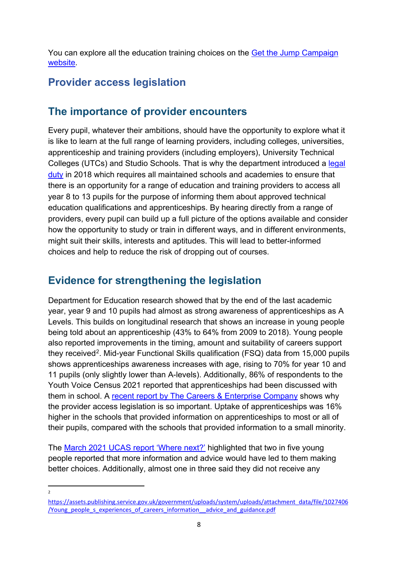You can explore all the education training choices on the [Get the Jump Campaign](https://nationalcareers.service.gov.uk/explore-your-education-and-training-choices/higher-technical)  [website.](https://nationalcareers.service.gov.uk/explore-your-education-and-training-choices/higher-technical)

# <span id="page-7-1"></span><span id="page-7-0"></span>**Provider access legislation**

## **The importance of provider encounters**

Every pupil, whatever their ambitions, should have the opportunity to explore what it is like to learn at the full range of learning providers, including colleges, universities, apprenticeship and training providers (including employers), University Technical Colleges (UTCs) and Studio Schools. That is why the department introduced a legal [duty](https://www.legislation.gov.uk/ukpga/2009/22/section/A2DA) in 2018 which requires all maintained schools and academies to ensure that there is an opportunity for a range of education and training providers to access all year 8 to 13 pupils for the purpose of informing them about approved technical education qualifications and apprenticeships. By hearing directly from a range of providers, every pupil can build up a full picture of the options available and consider how the opportunity to study or train in different ways, and in different environments, might suit their skills, interests and aptitudes. This will lead to better-informed choices and help to reduce the risk of dropping out of courses.

# <span id="page-7-2"></span>**Evidence for strengthening the legislation**

Department for Education research showed that by the end of the last academic year, year 9 and 10 pupils had almost as strong awareness of apprenticeships as A Levels. This builds on longitudinal research that shows an increase in young people being told about an apprenticeship (43% to 64% from 2009 to 2018). Young people also reported improvements in the timing, amount and suitability of careers support they received<sup>[2](#page-7-3)</sup>. Mid-year Functional Skills qualification (FSQ) data from 15,000 pupils shows apprenticeships awareness increases with age, rising to 70% for year 10 and 11 pupils (only slightly lower than A-levels). Additionally, 86% of respondents to the Youth Voice Census 2021 reported that apprenticeships had been discussed with them in school. A [recent report by The Careers & Enterprise Company](https://www.careersandenterprise.co.uk/media/xadnk1hb/cec-trends-in-careers-education-2021.pdf) shows why the provider access legislation is so important. Uptake of apprenticeships was 16% higher in the schools that provided information on apprenticeships to most or all of their pupils, compared with the schools that provided information to a small minority.

The [March 2021 UCAS report 'Where next?'](https://www.ucas.com/file/435551/download?token=VUdIDVFh) highlighted that two in five young people reported that more information and advice would have led to them making better choices. Additionally, almost one in three said they did not receive any

 $\overline{2}$ 

<span id="page-7-3"></span>[https://assets.publishing.service.gov.uk/government/uploads/system/uploads/attachment\\_data/file/1027406](https://assets.publishing.service.gov.uk/government/uploads/system/uploads/attachment_data/file/1027406/Young_people_s_experiences_of_careers_information__advice_and_guidance.pdf) [/Young\\_people\\_s\\_experiences\\_of\\_careers\\_information\\_\\_advice\\_and\\_guidance.pdf](https://assets.publishing.service.gov.uk/government/uploads/system/uploads/attachment_data/file/1027406/Young_people_s_experiences_of_careers_information__advice_and_guidance.pdf)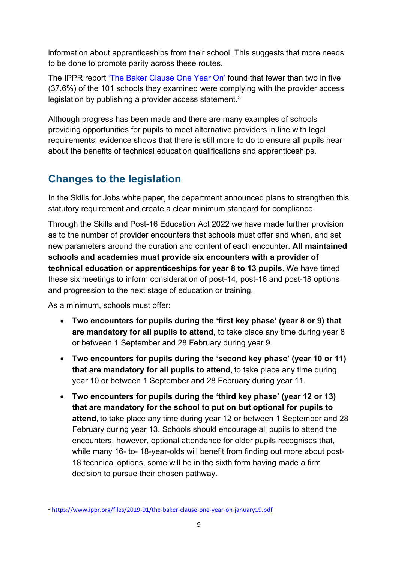information about apprenticeships from their school. This suggests that more needs to be done to promote parity across these routes.

The IPPR report ['The Baker Clause One Year On'](https://www.ippr.org/files/2019-01/the-baker-clause-one-year-on-january19.pdf) found that fewer than two in five (37.6%) of the 101 schools they examined were complying with the provider access legislation by publishing a provider access statement.<sup>[3](#page-8-1)</sup>

Although progress has been made and there are many examples of schools providing opportunities for pupils to meet alternative providers in line with legal requirements, evidence shows that there is still more to do to ensure all pupils hear about the benefits of technical education qualifications and apprenticeships.

# <span id="page-8-0"></span>**Changes to the legislation**

In the Skills for Jobs white paper, the department announced plans to strengthen this statutory requirement and create a clear minimum standard for compliance.

Through the Skills and Post-16 Education Act 2022 we have made further provision as to the number of provider encounters that schools must offer and when, and set new parameters around the duration and content of each encounter. **All maintained schools and academies must provide six encounters with a provider of technical education or apprenticeships for year 8 to 13 pupils**. We have timed these six meetings to inform consideration of post-14, post-16 and post-18 options and progression to the next stage of education or training.

As a minimum, schools must offer:

- **Two encounters for pupils during the 'first key phase' (year 8 or 9) that are mandatory for all pupils to attend**, to take place any time during year 8 or between 1 September and 28 February during year 9.
- **Two encounters for pupils during the 'second key phase' (year 10 or 11) that are mandatory for all pupils to attend**, to take place any time during year 10 or between 1 September and 28 February during year 11.
- **Two encounters for pupils during the 'third key phase' (year 12 or 13) that are mandatory for the school to put on but optional for pupils to attend**, to take place any time during year 12 or between 1 September and 28 February during year 13. Schools should encourage all pupils to attend the encounters, however, optional attendance for older pupils recognises that, while many 16- to- 18-year-olds will benefit from finding out more about post-18 technical options, some will be in the sixth form having made a firm decision to pursue their chosen pathway.

<span id="page-8-1"></span><sup>&</sup>lt;sup>3</sup> https://www.ippr.org/files/2019-01/the-baker-clause-one-year-on-january19.pdf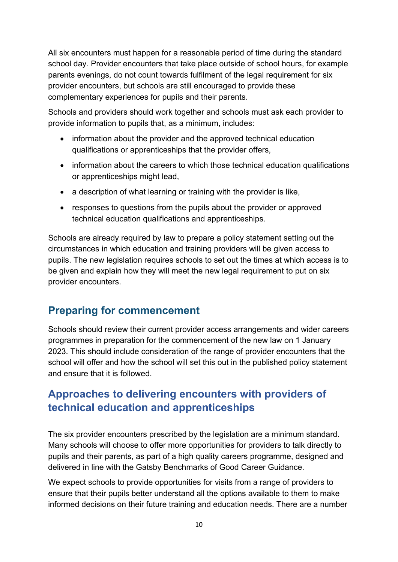All six encounters must happen for a reasonable period of time during the standard school day. Provider encounters that take place outside of school hours, for example parents evenings, do not count towards fulfilment of the legal requirement for six provider encounters, but schools are still encouraged to provide these complementary experiences for pupils and their parents.

Schools and providers should work together and schools must ask each provider to provide information to pupils that, as a minimum, includes:

- information about the provider and the approved technical education qualifications or apprenticeships that the provider offers,
- information about the careers to which those technical education qualifications or apprenticeships might lead,
- a description of what learning or training with the provider is like,
- responses to questions from the pupils about the provider or approved technical education qualifications and apprenticeships.

Schools are already required by law to prepare a policy statement setting out the circumstances in which education and training providers will be given access to pupils. The new legislation requires schools to set out the times at which access is to be given and explain how they will meet the new legal requirement to put on six provider encounters.

## <span id="page-9-0"></span>**Preparing for commencement**

Schools should review their current provider access arrangements and wider careers programmes in preparation for the commencement of the new law on 1 January 2023. This should include consideration of the range of provider encounters that the school will offer and how the school will set this out in the published policy statement and ensure that it is followed.

# <span id="page-9-1"></span>**Approaches to delivering encounters with providers of technical education and apprenticeships**

The six provider encounters prescribed by the legislation are a minimum standard. Many schools will choose to offer more opportunities for providers to talk directly to pupils and their parents, as part of a high quality careers programme, designed and delivered in line with the Gatsby Benchmarks of Good Career Guidance.

We expect schools to provide opportunities for visits from a range of providers to ensure that their pupils better understand all the options available to them to make informed decisions on their future training and education needs. There are a number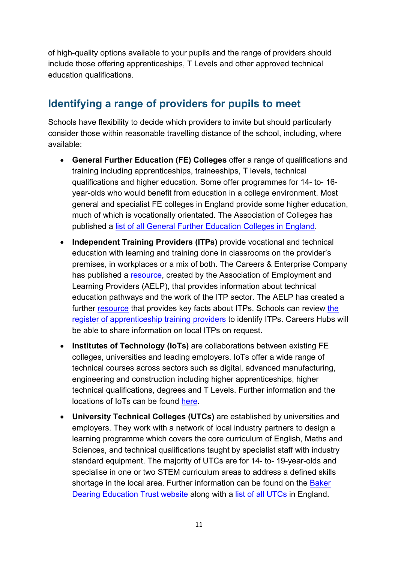of high-quality options available to your pupils and the range of providers should include those offering apprenticeships, T Levels and other approved technical education qualifications.

# <span id="page-10-0"></span>**Identifying a range of providers for pupils to meet**

Schools have flexibility to decide which providers to invite but should particularly consider those within reasonable travelling distance of the school, including, where available:

- **General Further Education (FE) Colleges** offer a range of qualifications and training including apprenticeships, traineeships, T levels, technical qualifications and higher education. Some offer programmes for 14- to- 16 year-olds who would benefit from education in a college environment. Most general and specialist FE colleges in England provide some higher education, much of which is vocationally orientated. The Association of Colleges has published a [list of all General Further Education Colleges in England.](https://www.aoc.co.uk/sites/default/files/232%20colleges%20in%20England.pdf)
- **Independent Training Providers (ITPs)** provide vocational and technical education with learning and training done in classrooms on the provider's premises, in workplaces or a mix of both. The Careers & Enterprise Company has published a [resource,](https://resources.careersandenterprise.co.uk/resources/technical-education-pathways-resource) created by the Association of Employment and Learning Providers (AELP), that provides information about technical education pathways and the work of the ITP sector. The AELP has created a further [resource](https://www.aelp.org.uk/media/4376/keyfacts-itps-v12.pdf) that provides key facts about ITPs. Schools can review the [register of apprenticeship training providers](https://www.gov.uk/guidance/register-of-apprenticeship-training-providers) to identify ITPs. Careers Hubs will be able to share information on local ITPs on request.
- **Institutes of Technology (IoTs)** are collaborations between existing FE colleges, universities and leading employers. IoTs offer a wide range of technical courses across sectors such as digital, advanced manufacturing, engineering and construction including higher apprenticeships, higher technical qualifications, degrees and T Levels. Further information and the locations of IoTs can be found [here.](https://www.institutesoftechnology.org.uk/study)
- **University Technical Colleges (UTCs)** are established by universities and employers. They work with a network of local industry partners to design a learning programme which covers the core curriculum of English, Maths and Sciences, and technical qualifications taught by specialist staff with industry standard equipment. The majority of UTCs are for 14- to- 19-year-olds and specialise in one or two STEM curriculum areas to address a defined skills shortage in the local area. Further information can be found on the Baker [Dearing Education Trust website](https://www.utcolleges.org/) along with a [list of all UTCs](https://www.utcolleges.org/find-a-utc/) in England.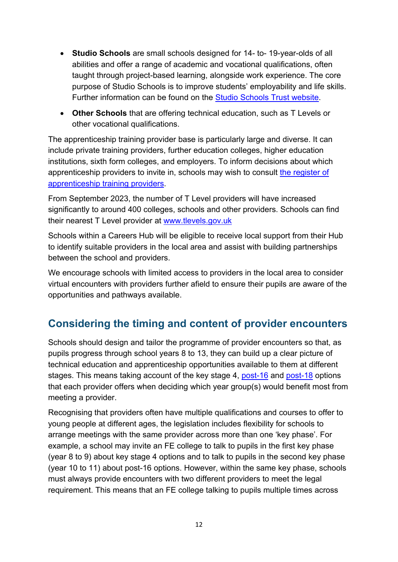- **Studio Schools** are small schools designed for 14- to- 19-year-olds of all abilities and offer a range of academic and vocational qualifications, often taught through project-based learning, alongside work experience. The core purpose of Studio Schools is to improve students' employability and life skills. Further information can be found on the [Studio Schools Trust website.](https://www.studioschoolstrust.org/)
- **Other Schools** that are offering technical education, such as T Levels or other vocational qualifications.

The apprenticeship training provider base is particularly large and diverse. It can include private training providers, further education colleges, higher education institutions, sixth form colleges, and employers. To inform decisions about which apprenticeship providers to invite in, schools may wish to consult [the register of](https://www.gov.uk/guidance/register-of-apprenticeship-training-providers)  [apprenticeship training providers.](https://www.gov.uk/guidance/register-of-apprenticeship-training-providers)

From September 2023, the number of T Level providers will have increased significantly to around 400 colleges, schools and other providers. Schools can find their nearest T Level provider at [www.tlevels.gov.uk](http://www.tlevels.gov.uk/)

Schools within a Careers Hub will be eligible to receive local support from their Hub to identify suitable providers in the local area and assist with building partnerships between the school and providers.

We encourage schools with limited access to providers in the local area to consider virtual encounters with providers further afield to ensure their pupils are aware of the opportunities and pathways available.

# <span id="page-11-0"></span>**Considering the timing and content of provider encounters**

Schools should design and tailor the programme of provider encounters so that, as pupils progress through school years 8 to 13, they can build up a clear picture of technical education and apprenticeship opportunities available to them at different stages. This means taking account of the key stage 4, [post-16](https://nationalcareers.service.gov.uk/careers-advice/career-choices-at-16) and [post-18](https://nationalcareers.service.gov.uk/careers-advice/career-choices-at-18) options that each provider offers when deciding which year group(s) would benefit most from meeting a provider.

Recognising that providers often have multiple qualifications and courses to offer to young people at different ages, the legislation includes flexibility for schools to arrange meetings with the same provider across more than one 'key phase'. For example, a school may invite an FE college to talk to pupils in the first key phase (year 8 to 9) about key stage 4 options and to talk to pupils in the second key phase (year 10 to 11) about post-16 options. However, within the same key phase, schools must always provide encounters with two different providers to meet the legal requirement. This means that an FE college talking to pupils multiple times across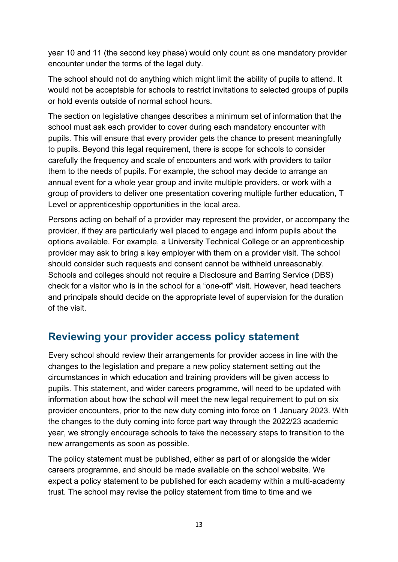year 10 and 11 (the second key phase) would only count as one mandatory provider encounter under the terms of the legal duty.

The school should not do anything which might limit the ability of pupils to attend. It would not be acceptable for schools to restrict invitations to selected groups of pupils or hold events outside of normal school hours.

The section on legislative changes describes a minimum set of information that the school must ask each provider to cover during each mandatory encounter with pupils. This will ensure that every provider gets the chance to present meaningfully to pupils. Beyond this legal requirement, there is scope for schools to consider carefully the frequency and scale of encounters and work with providers to tailor them to the needs of pupils. For example, the school may decide to arrange an annual event for a whole year group and invite multiple providers, or work with a group of providers to deliver one presentation covering multiple further education, T Level or apprenticeship opportunities in the local area.

Persons acting on behalf of a provider may represent the provider, or accompany the provider, if they are particularly well placed to engage and inform pupils about the options available. For example, a University Technical College or an apprenticeship provider may ask to bring a key employer with them on a provider visit. The school should consider such requests and consent cannot be withheld unreasonably. Schools and colleges should not require a Disclosure and Barring Service (DBS) check for a visitor who is in the school for a "one-off" visit. However, head teachers and principals should decide on the appropriate level of supervision for the duration of the visit.

## <span id="page-12-0"></span>**Reviewing your provider access policy statement**

Every school should review their arrangements for provider access in line with the changes to the legislation and prepare a new policy statement setting out the circumstances in which education and training providers will be given access to pupils. This statement, and wider careers programme, will need to be updated with information about how the school will meet the new legal requirement to put on six provider encounters, prior to the new duty coming into force on 1 January 2023. With the changes to the duty coming into force part way through the 2022/23 academic year, we strongly encourage schools to take the necessary steps to transition to the new arrangements as soon as possible.

The policy statement must be published, either as part of or alongside the wider careers programme, and should be made available on the school website. We expect a policy statement to be published for each academy within a multi-academy trust. The school may revise the policy statement from time to time and we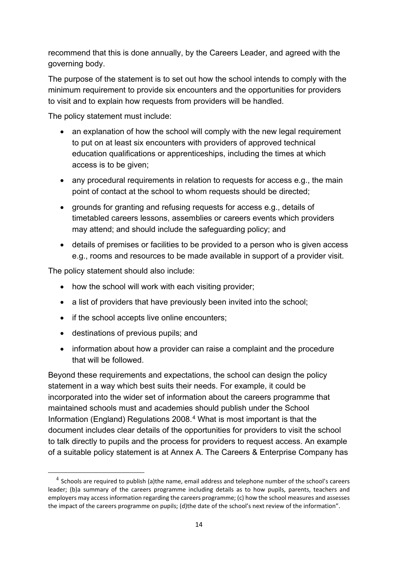recommend that this is done annually, by the Careers Leader, and agreed with the governing body.

The purpose of the statement is to set out how the school intends to comply with the minimum requirement to provide six encounters and the opportunities for providers to visit and to explain how requests from providers will be handled.

The policy statement must include:

- an explanation of how the school will comply with the new legal requirement to put on at least six encounters with providers of approved technical education qualifications or apprenticeships, including the times at which access is to be given;
- any procedural requirements in relation to requests for access e.g., the main point of contact at the school to whom requests should be directed;
- grounds for granting and refusing requests for access e.g., details of timetabled careers lessons, assemblies or careers events which providers may attend; and should include the safeguarding policy; and
- details of premises or facilities to be provided to a person who is given access e.g., rooms and resources to be made available in support of a provider visit.

The policy statement should also include:

- how the school will work with each visiting provider;
- a list of providers that have previously been invited into the school;
- if the school accepts live online encounters:
- destinations of previous pupils; and
- information about how a provider can raise a complaint and the procedure that will be followed.

Beyond these requirements and expectations, the school can design the policy statement in a way which best suits their needs. For example, it could be incorporated into the wider set of information about the careers programme that maintained schools must and academies should publish under the School Information (England) Regulations 2008. [4](#page-13-0) What is most important is that the document includes clear details of the opportunities for providers to visit the school to talk directly to pupils and the process for providers to request access. An example of a suitable policy statement is at Annex A. The Careers & Enterprise Company has

<span id="page-13-0"></span> $<sup>4</sup>$  Schools are required to publish (a)the name, email address and telephone number of the school's careers</sup> leader; (b)a summary of the careers programme including details as to how pupils, parents, teachers and employers may access information regarding the careers programme; (c) how the school measures and assesses the impact of the careers programme on pupils; (d)the date of the school's next review of the information".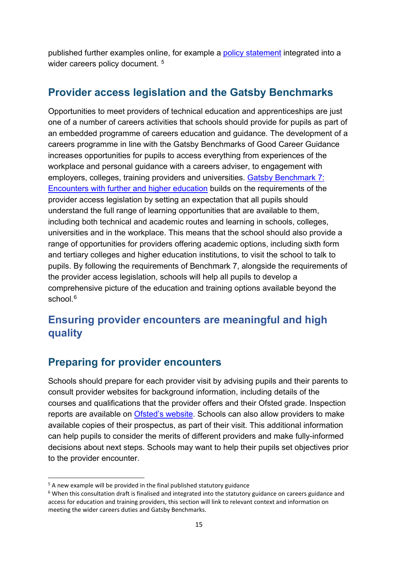published further examples online, for example a [policy statement](https://resources.careersandenterprise.co.uk/resources/ceiag-example-policy) integrated into a wider careers policy document.<sup>[5](#page-14-3)</sup>

#### <span id="page-14-0"></span>**Provider access legislation and the Gatsby Benchmarks**

Opportunities to meet providers of technical education and apprenticeships are just one of a number of careers activities that schools should provide for pupils as part of an embedded programme of careers education and guidance. The development of a careers programme in line with the Gatsby Benchmarks of Good Career Guidance increases opportunities for pupils to access everything from experiences of the workplace and personal guidance with a careers adviser, to engagement with employers, colleges, training providers and universities. [Gatsby Benchmark 7:](https://www.goodcareerguidance.org.uk/case-study/encounters-with-further-and-higher-education)  [Encounters with further and higher education](https://www.goodcareerguidance.org.uk/case-study/encounters-with-further-and-higher-education) builds on the requirements of the provider access legislation by setting an expectation that all pupils should understand the full range of learning opportunities that are available to them, including both technical and academic routes and learning in schools, colleges, universities and in the workplace. This means that the school should also provide a range of opportunities for providers offering academic options, including sixth form and tertiary colleges and higher education institutions, to visit the school to talk to pupils. By following the requirements of Benchmark 7, alongside the requirements of the provider access legislation, schools will help all pupils to develop a comprehensive picture of the education and training options available beyond the school. [6](#page-14-4)

# <span id="page-14-1"></span>**Ensuring provider encounters are meaningful and high quality**

## <span id="page-14-2"></span>**Preparing for provider encounters**

Schools should prepare for each provider visit by advising pupils and their parents to consult provider websites for background information, including details of the courses and qualifications that the provider offers and their Ofsted grade. Inspection reports are available on [Ofsted's website.](https://reports.ofsted.gov.uk/) Schools can also allow providers to make available copies of their prospectus, as part of their visit. This additional information can help pupils to consider the merits of different providers and make fully-informed decisions about next steps. Schools may want to help their pupils set objectives prior to the provider encounter.

<span id="page-14-3"></span><sup>&</sup>lt;sup>5</sup> A new example will be provided in the final published statutory guidance

<span id="page-14-4"></span><sup>&</sup>lt;sup>6</sup> When this consultation draft is finalised and integrated into the statutory guidance on careers guidance and access for education and training providers, this section will link to relevant context and information on meeting the wider careers duties and Gatsby Benchmarks.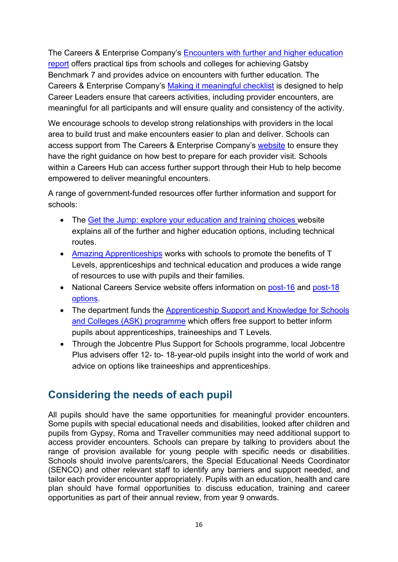The Careers & Enterprise Company's [Encounters with further and higher education](https://www.careersandenterprise.co.uk/media/40ener54/1445_bm7_final.pdf)  [report](https://www.careersandenterprise.co.uk/media/40ener54/1445_bm7_final.pdf) offers practical tips from schools and colleges for achieving Gatsby Benchmark 7 and provides advice on encounters with further education. The Careers & Enterprise Company's [Making it meaningful checklist](https://resources.careersandenterprise.co.uk/sites/default/files/2022-02/1540_Make%20it%20meaningful%20checklist_v3.pdf) is designed to help Career Leaders ensure that careers activities, including provider encounters, are meaningful for all participants and will ensure quality and consistency of the activity.

We encourage schools to develop strong relationships with providers in the local area to build trust and make encounters easier to plan and deliver. Schools can access support from The Careers & Enterprise Company's [website](https://www.careersandenterprise.co.uk/) to ensure they have the right guidance on how best to prepare for each provider visit. Schools within a Careers Hub can access further support through their Hub to help become empowered to deliver meaningful encounters.

A range of government-funded resources offer further information and support for schools:

- The [Get the Jump: explore your education and training choices w](https://nationalcareers.service.gov.uk/explore-your-education-and-training-choices)ebsite explains all of the further and higher education options, including technical routes.
- [Amazing Apprenticeships](https://amazingapprenticeships.com/) works with schools to promote the benefits of T Levels, apprenticeships and technical education and produces a wide range of resources to use with pupils and their families.
- National Careers Service website offers information on [post-16](https://nationalcareers.service.gov.uk/careers-advice/career-choices-at-16) and post-18 [options.](https://nationalcareers.service.gov.uk/careers-advice/career-choices-at-18)
- The department funds the Apprenticeship Support and Knowledge for Schools [and Colleges \(ASK\) programme](https://www.apprenticeships.gov.uk/influencers/what-support-can-i-access) which offers free support to better inform pupils about apprenticeships, traineeships and T Levels.
- Through the Jobcentre Plus Support for Schools programme, local Jobcentre Plus advisers offer 12- to- 18-year-old pupils insight into the world of work and advice on options like traineeships and apprenticeships.

# <span id="page-15-0"></span>**Considering the needs of each pupil**

All pupils should have the same opportunities for meaningful provider encounters. Some pupils with special educational needs and disabilities, looked after children and pupils from Gypsy, Roma and Traveller communities may need additional support to access provider encounters. Schools can prepare by talking to providers about the range of provision available for young people with specific needs or disabilities. Schools should involve parents/carers, the Special Educational Needs Coordinator (SENCO) and other relevant staff to identify any barriers and support needed, and tailor each provider encounter appropriately. Pupils with an education, health and care plan should have formal opportunities to discuss education, training and career opportunities as part of their annual review, from year 9 onwards.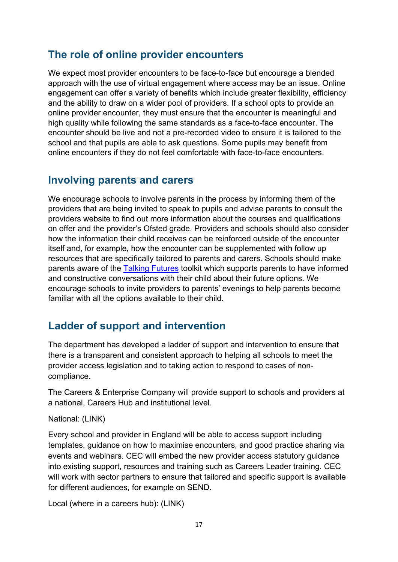#### <span id="page-16-0"></span>**The role of online provider encounters**

We expect most provider encounters to be face-to-face but encourage a blended approach with the use of virtual engagement where access may be an issue. Online engagement can offer a variety of benefits which include greater flexibility, efficiency and the ability to draw on a wider pool of providers. If a school opts to provide an online provider encounter, they must ensure that the encounter is meaningful and high quality while following the same standards as a face-to-face encounter. The encounter should be live and not a pre-recorded video to ensure it is tailored to the school and that pupils are able to ask questions. Some pupils may benefit from online encounters if they do not feel comfortable with face-to-face encounters.

#### <span id="page-16-1"></span>**Involving parents and carers**

We encourage schools to involve parents in the process by informing them of the providers that are being invited to speak to pupils and advise parents to consult the providers website to find out more information about the courses and qualifications on offer and the provider's Ofsted grade. Providers and schools should also consider how the information their child receives can be reinforced outside of the encounter itself and, for example, how the encounter can be supplemented with follow up resources that are specifically tailored to parents and carers. Schools should make parents aware of the [Talking Futures](https://www.talkingfutures.org.uk/) toolkit which supports parents to have informed and constructive conversations with their child about their future options. We encourage schools to invite providers to parents' evenings to help parents become familiar with all the options available to their child.

## <span id="page-16-2"></span>**Ladder of support and intervention**

The department has developed a ladder of support and intervention to ensure that there is a transparent and consistent approach to helping all schools to meet the provider access legislation and to taking action to respond to cases of noncompliance.

The Careers & Enterprise Company will provide support to schools and providers at a national, Careers Hub and institutional level.

#### National: (LINK)

Every school and provider in England will be able to access support including templates, guidance on how to maximise encounters, and good practice sharing via events and webinars. CEC will embed the new provider access statutory guidance into existing support, resources and training such as Careers Leader training. CEC will work with sector partners to ensure that tailored and specific support is available for different audiences, for example on SEND.

Local (where in a careers hub): (LINK)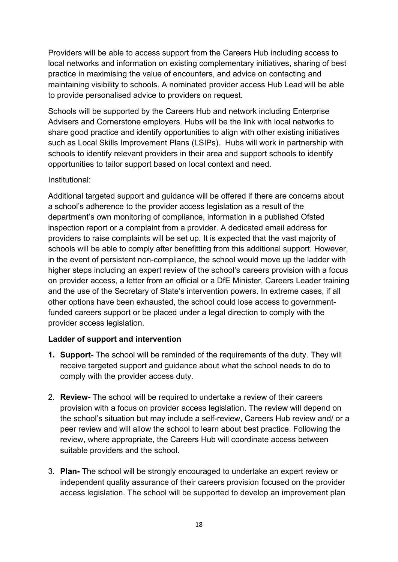Providers will be able to access support from the Careers Hub including access to local networks and information on existing complementary initiatives, sharing of best practice in maximising the value of encounters, and advice on contacting and maintaining visibility to schools. A nominated provider access Hub Lead will be able to provide personalised advice to providers on request.

Schools will be supported by the Careers Hub and network including Enterprise Advisers and Cornerstone employers. Hubs will be the link with local networks to share good practice and identify opportunities to align with other existing initiatives such as Local Skills Improvement Plans (LSIPs). Hubs will work in partnership with schools to identify relevant providers in their area and support schools to identify opportunities to tailor support based on local context and need.

#### Institutional:

Additional targeted support and guidance will be offered if there are concerns about a school's adherence to the provider access legislation as a result of the department's own monitoring of compliance, information in a published Ofsted inspection report or a complaint from a provider. A dedicated email address for providers to raise complaints will be set up. It is expected that the vast majority of schools will be able to comply after benefitting from this additional support. However, in the event of persistent non-compliance, the school would move up the ladder with higher steps including an expert review of the school's careers provision with a focus on provider access, a letter from an official or a DfE Minister, Careers Leader training and the use of the Secretary of State's intervention powers. In extreme cases, if all other options have been exhausted, the school could lose access to governmentfunded careers support or be placed under a legal direction to comply with the provider access legislation.

#### **Ladder of support and intervention**

- **1. Support-** The school will be reminded of the requirements of the duty. They will receive targeted support and guidance about what the school needs to do to comply with the provider access duty.
- 2. **Review-** The school will be required to undertake a review of their careers provision with a focus on provider access legislation. The review will depend on the school's situation but may include a self-review, Careers Hub review and/ or a peer review and will allow the school to learn about best practice. Following the review, where appropriate, the Careers Hub will coordinate access between suitable providers and the school.
- 3. **Plan-** The school will be strongly encouraged to undertake an expert review or independent quality assurance of their careers provision focused on the provider access legislation. The school will be supported to develop an improvement plan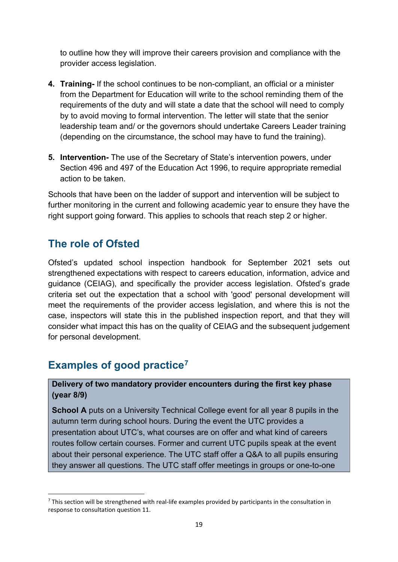to outline how they will improve their careers provision and compliance with the provider access legislation.

- **4. Training-** If the school continues to be non-compliant, an official or a minister from the Department for Education will write to the school reminding them of the requirements of the duty and will state a date that the school will need to comply by to avoid moving to formal intervention. The letter will state that the senior leadership team and/ or the governors should undertake Careers Leader training (depending on the circumstance, the school may have to fund the training).
- **5. Intervention-** The use of the Secretary of State's intervention powers, under Section 496 and 497 of the Education Act 1996, to require appropriate remedial action to be taken.

Schools that have been on the ladder of support and intervention will be subject to further monitoring in the current and following academic year to ensure they have the right support going forward. This applies to schools that reach step 2 or higher.

## <span id="page-18-0"></span>**The role of Ofsted**

Ofsted's updated school inspection handbook for September 2021 sets out strengthened expectations with respect to careers education, information, advice and guidance (CEIAG), and specifically the provider access legislation. Ofsted's grade criteria set out the expectation that a school with 'good' personal development will meet the requirements of the provider access legislation, and where this is not the case, inspectors will state this in the published inspection report, and that they will consider what impact this has on the quality of CEIAG and the subsequent judgement for personal development.

# <span id="page-18-1"></span>**Examples of good practice[7](#page-18-2)**

#### **Delivery of two mandatory provider encounters during the first key phase (year 8/9)**

**School A** puts on a University Technical College event for all year 8 pupils in the autumn term during school hours. During the event the UTC provides a presentation about UTC's, what courses are on offer and what kind of careers routes follow certain courses. Former and current UTC pupils speak at the event about their personal experience. The UTC staff offer a Q&A to all pupils ensuring they answer all questions. The UTC staff offer meetings in groups or one-to-one

<span id="page-18-2"></span><sup>&</sup>lt;sup>7</sup> This section will be strengthened with real-life examples provided by participants in the consultation in response to consultation question 11.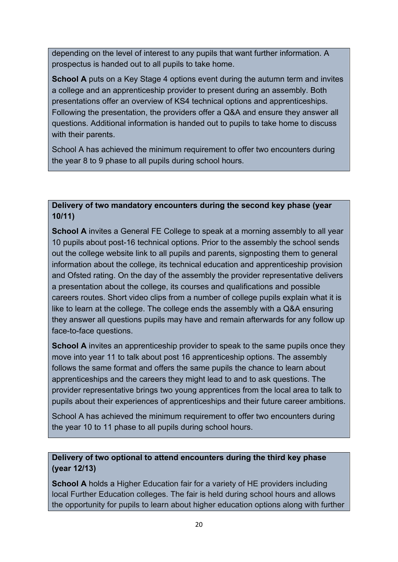depending on the level of interest to any pupils that want further information. A prospectus is handed out to all pupils to take home.

**School A** puts on a Key Stage 4 options event during the autumn term and invites a college and an apprenticeship provider to present during an assembly. Both presentations offer an overview of KS4 technical options and apprenticeships. Following the presentation, the providers offer a Q&A and ensure they answer all questions. Additional information is handed out to pupils to take home to discuss with their parents.

School A has achieved the minimum requirement to offer two encounters during the year 8 to 9 phase to all pupils during school hours.

#### **Delivery of two mandatory encounters during the second key phase (year 10/11)**

**School A** invites a General FE College to speak at a morning assembly to all year 10 pupils about post-16 technical options. Prior to the assembly the school sends out the college website link to all pupils and parents, signposting them to general information about the college, its technical education and apprenticeship provision and Ofsted rating. On the day of the assembly the provider representative delivers a presentation about the college, its courses and qualifications and possible careers routes. Short video clips from a number of college pupils explain what it is like to learn at the college. The college ends the assembly with a Q&A ensuring they answer all questions pupils may have and remain afterwards for any follow up face-to-face questions.

**School A** invites an apprenticeship provider to speak to the same pupils once they move into year 11 to talk about post 16 apprenticeship options. The assembly follows the same format and offers the same pupils the chance to learn about apprenticeships and the careers they might lead to and to ask questions. The provider representative brings two young apprentices from the local area to talk to pupils about their experiences of apprenticeships and their future career ambitions.

School A has achieved the minimum requirement to offer two encounters during the year 10 to 11 phase to all pupils during school hours.

#### **Delivery of two optional to attend encounters during the third key phase (year 12/13)**

**School A** holds a Higher Education fair for a variety of HE providers including local Further Education colleges. The fair is held during school hours and allows the opportunity for pupils to learn about higher education options along with further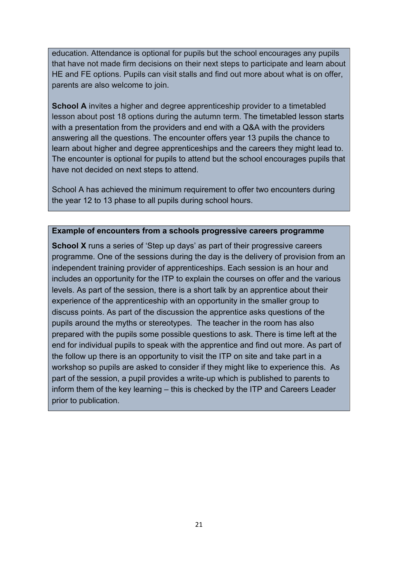education. Attendance is optional for pupils but the school encourages any pupils that have not made firm decisions on their next steps to participate and learn about HE and FE options. Pupils can visit stalls and find out more about what is on offer, parents are also welcome to join.

**School A** invites a higher and degree apprenticeship provider to a timetabled lesson about post 18 options during the autumn term. The timetabled lesson starts with a presentation from the providers and end with a Q&A with the providers answering all the questions. The encounter offers year 13 pupils the chance to learn about higher and degree apprenticeships and the careers they might lead to. The encounter is optional for pupils to attend but the school encourages pupils that have not decided on next steps to attend.

School A has achieved the minimum requirement to offer two encounters during the year 12 to 13 phase to all pupils during school hours.

#### **Example of encounters from a schools progressive careers programme**

**School X** runs a series of 'Step up days' as part of their progressive careers programme. One of the sessions during the day is the delivery of provision from an independent training provider of apprenticeships. Each session is an hour and includes an opportunity for the ITP to explain the courses on offer and the various levels. As part of the session, there is a short talk by an apprentice about their experience of the apprenticeship with an opportunity in the smaller group to discuss points. As part of the discussion the apprentice asks questions of the pupils around the myths or stereotypes. The teacher in the room has also prepared with the pupils some possible questions to ask. There is time left at the end for individual pupils to speak with the apprentice and find out more. As part of the follow up there is an opportunity to visit the ITP on site and take part in a workshop so pupils are asked to consider if they might like to experience this. As part of the session, a pupil provides a write-up which is published to parents to inform them of the key learning – this is checked by the ITP and Careers Leader prior to publication.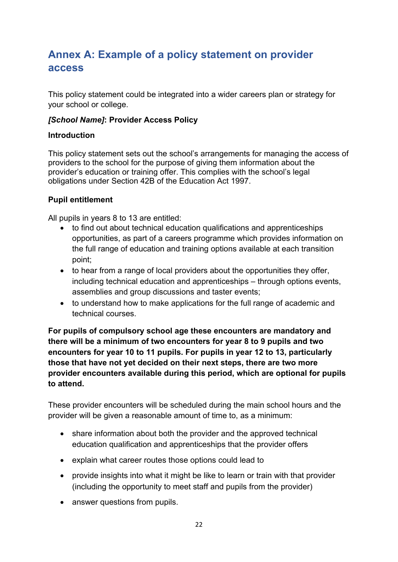# <span id="page-21-0"></span>**Annex A: Example of a policy statement on provider access**

This policy statement could be integrated into a wider careers plan or strategy for your school or college.

#### *[School Name]***: Provider Access Policy**

#### **Introduction**

This policy statement sets out the school's arrangements for managing the access of providers to the school for the purpose of giving them information about the provider's education or training offer. This complies with the school's legal obligations under Section 42B of the Education Act 1997.

#### **Pupil entitlement**

All pupils in years 8 to 13 are entitled:

- to find out about technical education qualifications and apprenticeships opportunities, as part of a careers programme which provides information on the full range of education and training options available at each transition point;
- to hear from a range of local providers about the opportunities they offer, including technical education and apprenticeships – through options events, assemblies and group discussions and taster events;
- to understand how to make applications for the full range of academic and technical courses.

**For pupils of compulsory school age these encounters are mandatory and there will be a minimum of two encounters for year 8 to 9 pupils and two encounters for year 10 to 11 pupils. For pupils in year 12 to 13, particularly those that have not yet decided on their next steps, there are two more provider encounters available during this period, which are optional for pupils to attend.**

These provider encounters will be scheduled during the main school hours and the provider will be given a reasonable amount of time to, as a minimum:

- share information about both the provider and the approved technical education qualification and apprenticeships that the provider offers
- explain what career routes those options could lead to
- provide insights into what it might be like to learn or train with that provider (including the opportunity to meet staff and pupils from the provider)
- answer questions from pupils.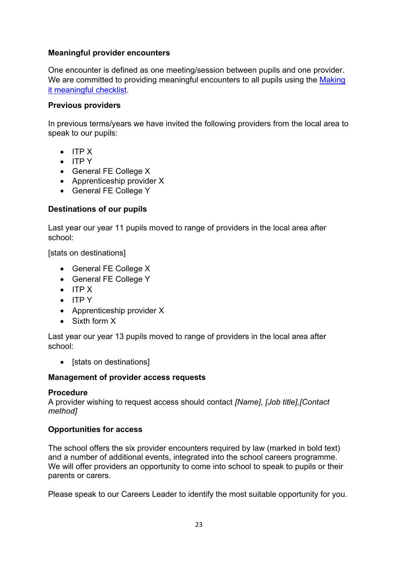#### **Meaningful provider encounters**

One encounter is defined as one meeting/session between pupils and one provider. We are committed to providing meaningful encounters to all pupils using the Making [it meaningful checklist.](https://resources.careersandenterprise.co.uk/resources/making-it-meaningful-benchmark-7)

#### **Previous providers**

In previous terms/years we have invited the following providers from the local area to speak to our pupils:

- ITP X
- ITP Y
- General FE College X
- Apprenticeship provider X
- General FE College Y

#### **Destinations of our pupils**

Last year our year 11 pupils moved to range of providers in the local area after school:

[stats on destinations]

- General FE College X
- General FE College Y
- ITP X
- ITP Y
- Apprenticeship provider X
- Sixth form X

Last year our year 13 pupils moved to range of providers in the local area after school:

• [stats on destinations]

#### **Management of provider access requests**

#### **Procedure**

A provider wishing to request access should contact *[Name]*, *[Job title],[Contact method]*

#### **Opportunities for access**

The school offers the six provider encounters required by law (marked in bold text) and a number of additional events, integrated into the school careers programme. We will offer providers an opportunity to come into school to speak to pupils or their parents or carers.

Please speak to our Careers Leader to identify the most suitable opportunity for you.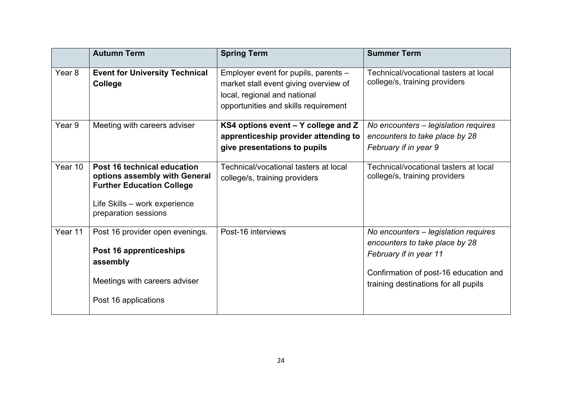|                   | <b>Autumn Term</b>                                                                                                                                        | <b>Spring Term</b>                                                                                                                                    | <b>Summer Term</b>                                                                                                                                                                |
|-------------------|-----------------------------------------------------------------------------------------------------------------------------------------------------------|-------------------------------------------------------------------------------------------------------------------------------------------------------|-----------------------------------------------------------------------------------------------------------------------------------------------------------------------------------|
| Year <sub>8</sub> | <b>Event for University Technical</b><br>College                                                                                                          | Employer event for pupils, parents -<br>market stall event giving overview of<br>local, regional and national<br>opportunities and skills requirement | Technical/vocational tasters at local<br>college/s, training providers                                                                                                            |
| Year <sub>9</sub> | Meeting with careers adviser                                                                                                                              | KS4 options event - Y college and Z<br>apprenticeship provider attending to<br>give presentations to pupils                                           | No encounters - legislation requires<br>encounters to take place by 28<br>February if in year 9                                                                                   |
| Year 10           | Post 16 technical education<br>options assembly with General<br><b>Further Education College</b><br>Life Skills - work experience<br>preparation sessions | Technical/vocational tasters at local<br>college/s, training providers                                                                                | Technical/vocational tasters at local<br>college/s, training providers                                                                                                            |
| Year 11           | Post 16 provider open evenings.<br>Post 16 apprenticeships<br>assembly<br>Meetings with careers adviser<br>Post 16 applications                           | Post-16 interviews                                                                                                                                    | No encounters - legislation requires<br>encounters to take place by 28<br>February if in year 11<br>Confirmation of post-16 education and<br>training destinations for all pupils |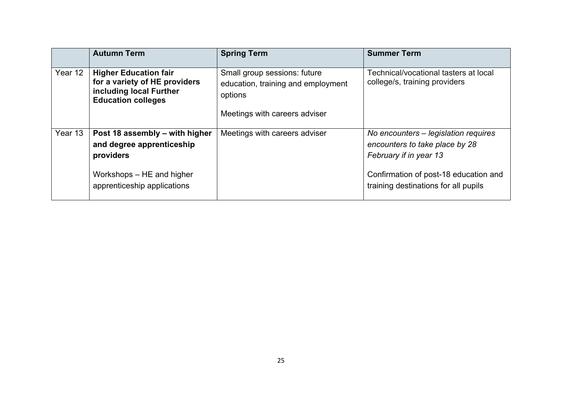|         | <b>Autumn Term</b>                                                                                                    | <b>Spring Term</b>                                                            | <b>Summer Term</b>                                                                               |
|---------|-----------------------------------------------------------------------------------------------------------------------|-------------------------------------------------------------------------------|--------------------------------------------------------------------------------------------------|
| Year 12 | <b>Higher Education fair</b><br>for a variety of HE providers<br>including local Further<br><b>Education colleges</b> | Small group sessions: future<br>education, training and employment<br>options | Technical/vocational tasters at local<br>college/s, training providers                           |
|         |                                                                                                                       | Meetings with careers adviser                                                 |                                                                                                  |
| Year 13 | Post 18 assembly – with higher<br>and degree apprenticeship<br>providers                                              | Meetings with careers adviser                                                 | No encounters – legislation requires<br>encounters to take place by 28<br>February if in year 13 |
|         | Workshops – HE and higher<br>apprenticeship applications                                                              |                                                                               | Confirmation of post-18 education and<br>training destinations for all pupils                    |